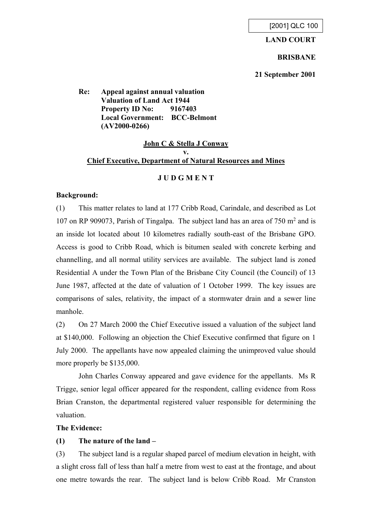### **LAND COURT**

#### **BRISBANE**

**21 September 2001**

**Re: Appeal against annual valuation Valuation of Land Act 1944 Property ID No: 9167403 Local Government: BCC-Belmont (AV2000-0266)**

# **John C & Stella J Conway v. Chief Executive, Department of Natural Resources and Mines**

## **J U D G M E N T**

## **Background:**

(1) This matter relates to land at 177 Cribb Road, Carindale, and described as Lot 107 on RP 909073, Parish of Tingalpa. The subject land has an area of 750 m<sup>2</sup> and is an inside lot located about 10 kilometres radially south-east of the Brisbane GPO. Access is good to Cribb Road, which is bitumen sealed with concrete kerbing and channelling, and all normal utility services are available. The subject land is zoned Residential A under the Town Plan of the Brisbane City Council (the Council) of 13 June 1987, affected at the date of valuation of 1 October 1999. The key issues are comparisons of sales, relativity, the impact of a stormwater drain and a sewer line manhole.

(2) On 27 March 2000 the Chief Executive issued a valuation of the subject land at \$140,000. Following an objection the Chief Executive confirmed that figure on 1 July 2000. The appellants have now appealed claiming the unimproved value should more properly be \$135,000.

John Charles Conway appeared and gave evidence for the appellants. Ms R Trigge, senior legal officer appeared for the respondent, calling evidence from Ross Brian Cranston, the departmental registered valuer responsible for determining the valuation.

### **The Evidence:**

### **(1) The nature of the land –**

(3) The subject land is a regular shaped parcel of medium elevation in height, with a slight cross fall of less than half a metre from west to east at the frontage, and about one metre towards the rear. The subject land is below Cribb Road. Mr Cranston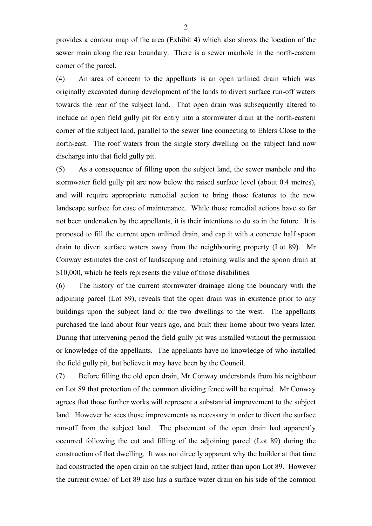provides a contour map of the area (Exhibit 4) which also shows the location of the sewer main along the rear boundary. There is a sewer manhole in the north-eastern corner of the parcel.

(4) An area of concern to the appellants is an open unlined drain which was originally excavated during development of the lands to divert surface run-off waters towards the rear of the subject land. That open drain was subsequently altered to include an open field gully pit for entry into a stormwater drain at the north-eastern corner of the subject land, parallel to the sewer line connecting to Ehlers Close to the north-east. The roof waters from the single story dwelling on the subject land now discharge into that field gully pit.

(5) As a consequence of filling upon the subject land, the sewer manhole and the stormwater field gully pit are now below the raised surface level (about 0.4 metres), and will require appropriate remedial action to bring those features to the new landscape surface for ease of maintenance. While those remedial actions have so far not been undertaken by the appellants, it is their intentions to do so in the future. It is proposed to fill the current open unlined drain, and cap it with a concrete half spoon drain to divert surface waters away from the neighbouring property (Lot 89). Mr Conway estimates the cost of landscaping and retaining walls and the spoon drain at \$10,000, which he feels represents the value of those disabilities.

(6) The history of the current stormwater drainage along the boundary with the adjoining parcel (Lot 89), reveals that the open drain was in existence prior to any buildings upon the subject land or the two dwellings to the west. The appellants purchased the land about four years ago, and built their home about two years later. During that intervening period the field gully pit was installed without the permission or knowledge of the appellants. The appellants have no knowledge of who installed the field gully pit, but believe it may have been by the Council.

(7) Before filling the old open drain, Mr Conway understands from his neighbour on Lot 89 that protection of the common dividing fence will be required. Mr Conway agrees that those further works will represent a substantial improvement to the subject land. However he sees those improvements as necessary in order to divert the surface run-off from the subject land. The placement of the open drain had apparently occurred following the cut and filling of the adjoining parcel (Lot 89) during the construction of that dwelling. It was not directly apparent why the builder at that time had constructed the open drain on the subject land, rather than upon Lot 89. However the current owner of Lot 89 also has a surface water drain on his side of the common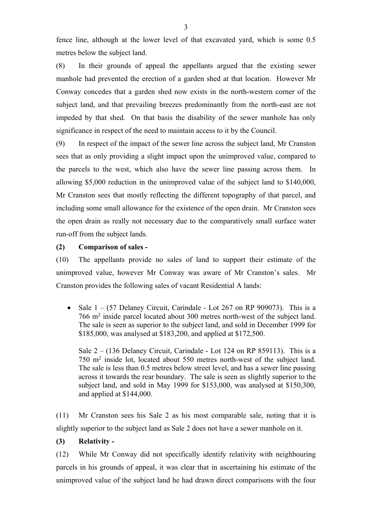fence line, although at the lower level of that excavated yard, which is some 0.5 metres below the subject land.

(8) In their grounds of appeal the appellants argued that the existing sewer manhole had prevented the erection of a garden shed at that location. However Mr Conway concedes that a garden shed now exists in the north-western corner of the subject land, and that prevailing breezes predominantly from the north-east are not impeded by that shed. On that basis the disability of the sewer manhole has only significance in respect of the need to maintain access to it by the Council.

(9) In respect of the impact of the sewer line across the subject land, Mr Cranston sees that as only providing a slight impact upon the unimproved value, compared to the parcels to the west, which also have the sewer line passing across them. In allowing \$5,000 reduction in the unimproved value of the subject land to \$140,000, Mr Cranston sees that mostly reflecting the different topography of that parcel, and including some small allowance for the existence of the open drain. Mr Cranston sees the open drain as really not necessary due to the comparatively small surface water run-off from the subject lands.

## **(2) Comparison of sales -**

(10) The appellants provide no sales of land to support their estimate of the unimproved value, however Mr Conway was aware of Mr Cranston's sales. Mr Cranston provides the following sales of vacant Residential A lands:

• Sale  $1 - (57$  Delaney Circuit, Carindale - Lot 267 on RP 909073). This is a 766 m<sup>2</sup> inside parcel located about 300 metres north-west of the subject land. The sale is seen as superior to the subject land, and sold in December 1999 for \$185,000, was analysed at \$183,200, and applied at \$172,500.

Sale  $2 - (136$  Delaney Circuit, Carindale - Lot 124 on RP 859113). This is a 750 m<sup>2</sup> inside lot, located about 550 metres north-west of the subject land. The sale is less than 0.5 metres below street level, and has a sewer line passing across it towards the rear boundary. The sale is seen as slightly superior to the subject land, and sold in May 1999 for \$153,000, was analysed at \$150,300, and applied at \$144,000.

(11) Mr Cranston sees his Sale 2 as his most comparable sale, noting that it is slightly superior to the subject land as Sale 2 does not have a sewer manhole on it.

### **(3) Relativity -**

(12) While Mr Conway did not specifically identify relativity with neighbouring parcels in his grounds of appeal, it was clear that in ascertaining his estimate of the unimproved value of the subject land he had drawn direct comparisons with the four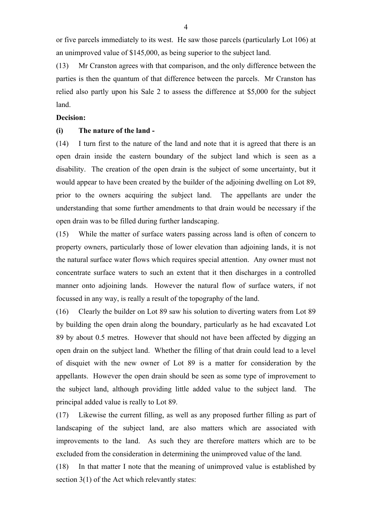or five parcels immediately to its west. He saw those parcels (particularly Lot 106) at an unimproved value of \$145,000, as being superior to the subject land.

(13) Mr Cranston agrees with that comparison, and the only difference between the parties is then the quantum of that difference between the parcels. Mr Cranston has relied also partly upon his Sale 2 to assess the difference at \$5,000 for the subject land.

#### **Decision:**

#### **(i) The nature of the land -**

(14) I turn first to the nature of the land and note that it is agreed that there is an open drain inside the eastern boundary of the subject land which is seen as a disability. The creation of the open drain is the subject of some uncertainty, but it would appear to have been created by the builder of the adjoining dwelling on Lot 89, prior to the owners acquiring the subject land. The appellants are under the understanding that some further amendments to that drain would be necessary if the open drain was to be filled during further landscaping.

(15) While the matter of surface waters passing across land is often of concern to property owners, particularly those of lower elevation than adjoining lands, it is not the natural surface water flows which requires special attention. Any owner must not concentrate surface waters to such an extent that it then discharges in a controlled manner onto adjoining lands. However the natural flow of surface waters, if not focussed in any way, is really a result of the topography of the land.

(16) Clearly the builder on Lot 89 saw his solution to diverting waters from Lot 89 by building the open drain along the boundary, particularly as he had excavated Lot 89 by about 0.5 metres. However that should not have been affected by digging an open drain on the subject land. Whether the filling of that drain could lead to a level of disquiet with the new owner of Lot 89 is a matter for consideration by the appellants. However the open drain should be seen as some type of improvement to the subject land, although providing little added value to the subject land. The principal added value is really to Lot 89.

(17) Likewise the current filling, as well as any proposed further filling as part of landscaping of the subject land, are also matters which are associated with improvements to the land. As such they are therefore matters which are to be excluded from the consideration in determining the unimproved value of the land.

(18) In that matter I note that the meaning of unimproved value is established by section 3(1) of the Act which relevantly states: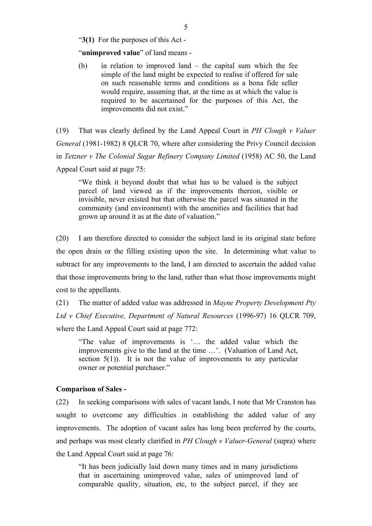"**3(1)** For the purposes of this Act -

"**unimproved value**" of land means -

(b) in relation to improved land – the capital sum which the fee simple of the land might be expected to realise if offered for sale on such reasonable terms and conditions as a bona fide seller would require, assuming that, at the time as at which the value is required to be ascertained for the purposes of this Act, the improvements did not exist."

(19) That was clearly defined by the Land Appeal Court in *PH Clough v Valuer General* (1981-1982) 8 QLCR 70, where after considering the Privy Council decision in *Tetzner v The Colonial Sugar Refinery Company Limited* (1958) AC 50, the Land Appeal Court said at page 75:

"We think it beyond doubt that what has to be valued is the subject parcel of land viewed as if the improvements thereon, visible or invisible, never existed but that otherwise the parcel was situated in the community (and environment) with the amenities and facilities that had grown up around it as at the date of valuation."

(20) I am therefore directed to consider the subject land in its original state before the open drain or the filling existing upon the site. In determining what value to subtract for any improvements to the land, I am directed to ascertain the added value that those improvements bring to the land, rather than what those improvements might cost to the appellants.

(21) The matter of added value was addressed in *Mayne Property Development Pty Ltd v Chief Executive, Department of Natural Resources* (1996-97) 16 QLCR 709, where the Land Appeal Court said at page 772:

"The value of improvements is '… the added value which the improvements give to the land at the time …'. (Valuation of Land Act, section  $5(1)$ ). It is not the value of improvements to any particular owner or potential purchaser."

#### **Comparison of Sales -**

(22) In seeking comparisons with sales of vacant lands, I note that Mr Cranston has sought to overcome any difficulties in establishing the added value of any improvements. The adoption of vacant sales has long been preferred by the courts, and perhaps was most clearly clarified in *PH Clough v Valuer-General* (supra) where the Land Appeal Court said at page 76:

"It has been judicially laid down many times and in many jurisdictions that in ascertaining unimproved value, sales of unimproved land of comparable quality, situation, etc, to the subject parcel, if they are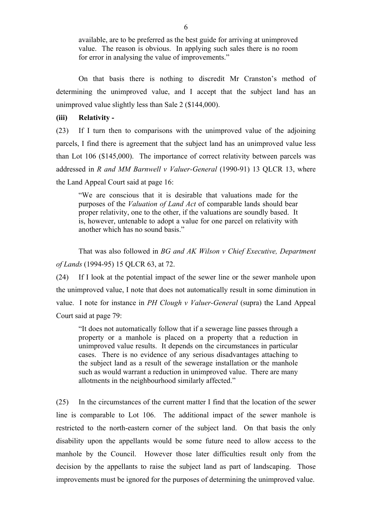available, are to be preferred as the best guide for arriving at unimproved value. The reason is obvious. In applying such sales there is no room for error in analysing the value of improvements."

On that basis there is nothing to discredit Mr Cranston's method of determining the unimproved value, and I accept that the subject land has an unimproved value slightly less than Sale 2 (\$144,000).

#### **(iii) Relativity -**

(23) If I turn then to comparisons with the unimproved value of the adjoining parcels, I find there is agreement that the subject land has an unimproved value less than Lot 106 (\$145,000). The importance of correct relativity between parcels was addressed in *R and MM Barnwell v Valuer-General* (1990-91) 13 QLCR 13, where the Land Appeal Court said at page 16:

"We are conscious that it is desirable that valuations made for the purposes of the *Valuation of Land Act* of comparable lands should bear proper relativity, one to the other, if the valuations are soundly based. It is, however, untenable to adopt a value for one parcel on relativity with another which has no sound basis."

That was also followed in *BG and AK Wilson v Chief Executive, Department of Lands* (1994-95) 15 QLCR 63, at 72.

(24) If I look at the potential impact of the sewer line or the sewer manhole upon the unimproved value, I note that does not automatically result in some diminution in value. I note for instance in *PH Clough v Valuer-General* (supra) the Land Appeal Court said at page 79:

"It does not automatically follow that if a sewerage line passes through a property or a manhole is placed on a property that a reduction in unimproved value results. It depends on the circumstances in particular cases. There is no evidence of any serious disadvantages attaching to the subject land as a result of the sewerage installation or the manhole such as would warrant a reduction in unimproved value. There are many allotments in the neighbourhood similarly affected."

(25) In the circumstances of the current matter I find that the location of the sewer line is comparable to Lot 106. The additional impact of the sewer manhole is restricted to the north-eastern corner of the subject land. On that basis the only disability upon the appellants would be some future need to allow access to the manhole by the Council. However those later difficulties result only from the decision by the appellants to raise the subject land as part of landscaping. Those improvements must be ignored for the purposes of determining the unimproved value.